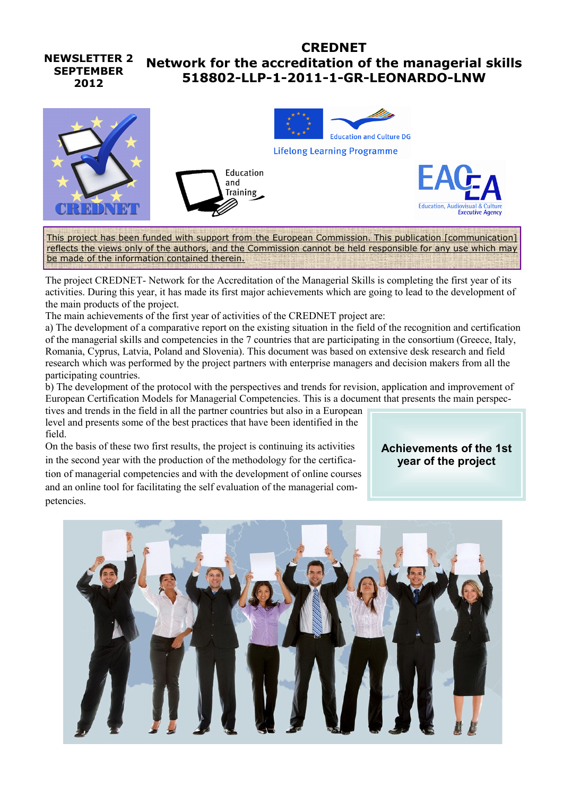#### **NEWSLETTER 2 SEPTEMBER 2012 CREDNET Network for the accreditation of the managerial skills 518802-LLP-1-2011-1-GR-LEONARDO-LNW**



This project has been funded with support from the European Commission. This publication [communication] reflects the views only of the authors, and the Commission cannot be held responsible for any use which may be made of the information contained therein.

The project CREDNET- Network for the Accreditation of the Managerial Skills is completing the first year of its activities. During this year, it has made its first major achievements which are going to lead to the development of the main products of the project.

The main achievements of the first year of activities of the CREDNET project are:

a) The development of a comparative report on the existing situation in the field of the recognition and certification of the managerial skills and competencies in the 7 countries that are participating in the consortium (Greece, Italy, Romania, Cyprus, Latvia, Poland and Slovenia). This document was based on extensive desk research and field research which was performed by the project partners with enterprise managers and decision makers from all the participating countries.

b) The development of the protocol with the perspectives and trends for revision, application and improvement of European Certification Models for Managerial Competencies. This is a document that presents the main perspec-

tives and trends in the field in all the partner countries but also in a European level and presents some of the best practices that have been identified in the field.

On the basis of these two first results, the project is continuing its activities in the second year with the production of the methodology for the certification of managerial competencies and with the development of online courses and an online tool for facilitating the self evaluation of the managerial competencies.

**Achievements of the 1st year of the project**

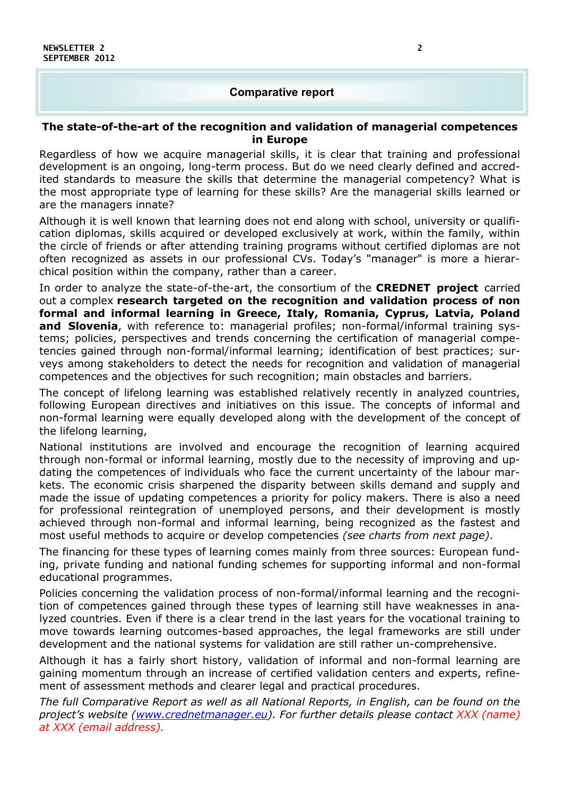### **Comparative report**

#### **The state-of-the-art of the recognition and validation of managerial competences in Europe**

Regardless of how we acquire managerial skills, it is clear that training and professional development is an ongoing, long-term process. But do we need clearly defined and accredited standards to measure the skills that determine the managerial competency? What is the most appropriate type of learning for these skills? Are the managerial skills learned or are the managers innate?

Although it is well known that learning does not end along with school, university or qualification diplomas, skills acquired or developed exclusively at work, within the family, within the circle of friends or after attending training programs without certified diplomas are not often recognized as assets in our professional CVs. Today's "manager" is more a hierarchical position within the company, rather than a career.

In order to analyze the state-of-the-art, the consortium of the **CREDNET project** carried out a complex **research targeted on the recognition and validation process of non formal and informal learning in Greece, Italy, Romania, Cyprus, Latvia, Poland and Slovenia**, with reference to: managerial profiles; non-formal/informal training systems; policies, perspectives and trends concerning the certification of managerial competencies gained through non-formal/informal learning; identification of best practices; surveys among stakeholders to detect the needs for recognition and validation of managerial competences and the objectives for such recognition; main obstacles and barriers.

The concept of lifelong learning was established relatively recently in analyzed countries, following European directives and initiatives on this issue. The concepts of informal and non-formal learning were equally developed along with the development of the concept of the lifelong learning,

National institutions are involved and encourage the recognition of learning acquired through non-formal or informal learning, mostly due to the necessity of improving and updating the competences of individuals who face the current uncertainty of the labour markets. The economic crisis sharpened the disparity between skills demand and supply and made the issue of updating competences a priority for policy makers. There is also a need for professional reintegration of unemployed persons, and their development is mostly achieved through non-formal and informal learning, being recognized as the fastest and most useful methods to acquire or develop competencies *(see charts from next page)*.

The financing for these types of learning comes mainly from three sources: European funding, private funding and national funding schemes for supporting informal and non-formal educational programmes.

Policies concerning the validation process of non-formal/informal learning and the recognition of competences gained through these types of learning still have weaknesses in analyzed countries. Even if there is a clear trend in the last years for the vocational training to move towards learning outcomes-based approaches, the legal frameworks are still under development and the national systems for validation are still rather un-comprehensive.

Although it has a fairly short history, validation of informal and non-formal learning are gaining momentum through an increase of certified validation centers and experts, refinement of assessment methods and clearer legal and practical procedures.

*The full Comparative Report as well as all National Reports, in English, can be found on the project's website (www.crednetmanager.eu). For further details please contact XXX (name) at XXX (email address).*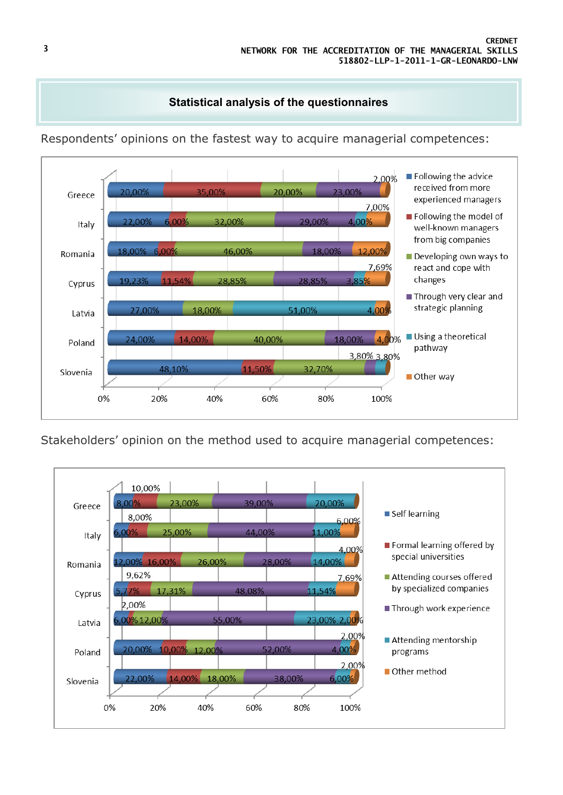# **Statistical analysis of the questionnaires**



Respondents' opinions on the fastest way to acquire managerial competences:

Stakeholders' opinion on the method used to acquire managerial competences: